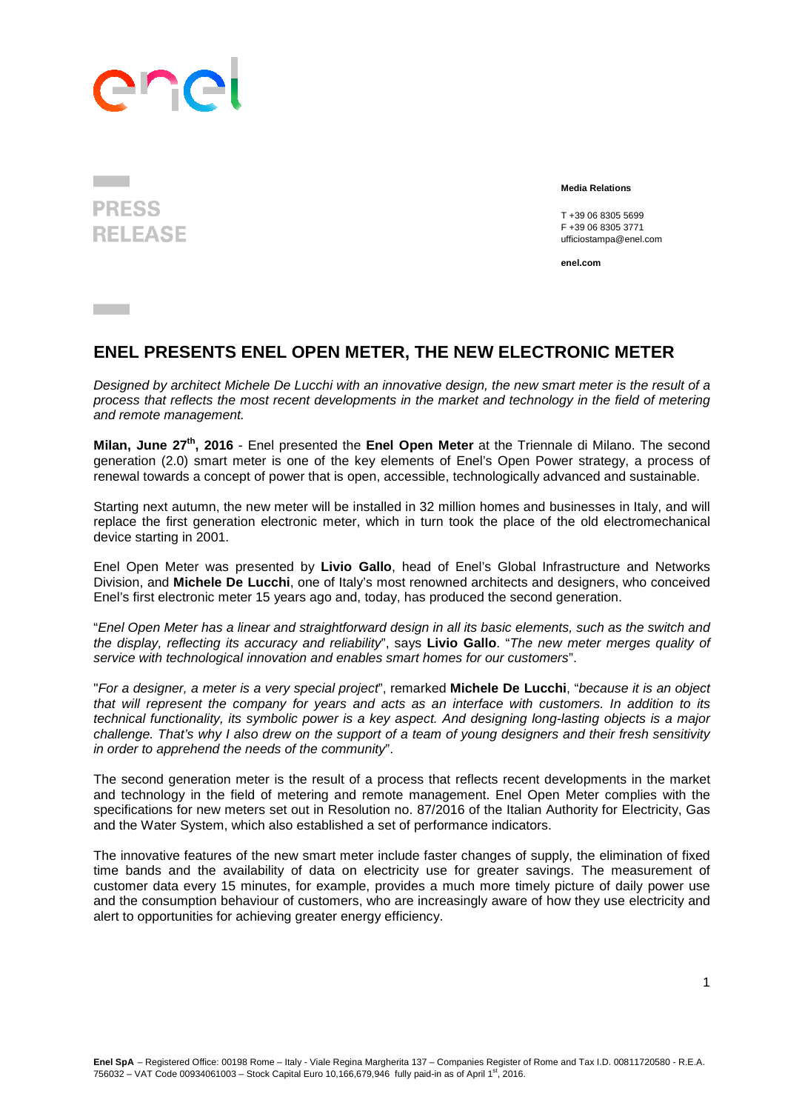## ane

## **PRESS RELEASE**

 **Media Relations** 

T +39 06 8305 5699 F +39 06 8305 3771 ufficiostampa@enel.com

**enel.com**

## **ENEL PRESENTS ENEL OPEN METER, THE NEW ELECTRONIC METER**

Designed by architect Michele De Lucchi with an innovative design, the new smart meter is the result of a process that reflects the most recent developments in the market and technology in the field of metering and remote management.

**Milan, June 27th, 2016** - Enel presented the **Enel Open Meter** at the Triennale di Milano. The second generation (2.0) smart meter is one of the key elements of Enel's Open Power strategy, a process of renewal towards a concept of power that is open, accessible, technologically advanced and sustainable.

Starting next autumn, the new meter will be installed in 32 million homes and businesses in Italy, and will replace the first generation electronic meter, which in turn took the place of the old electromechanical device starting in 2001.

Enel Open Meter was presented by **Livio Gallo**, head of Enel's Global Infrastructure and Networks Division, and **Michele De Lucchi**, one of Italy's most renowned architects and designers, who conceived Enel's first electronic meter 15 years ago and, today, has produced the second generation.

"Enel Open Meter has a linear and straightforward design in all its basic elements, such as the switch and the display, reflecting its accuracy and reliability", says **Livio Gallo**. "The new meter merges quality of service with technological innovation and enables smart homes for our customers".

"For a designer, a meter is a very special project", remarked **Michele De Lucchi**, "because it is an object that will represent the company for years and acts as an interface with customers. In addition to its technical functionality, its symbolic power is a key aspect. And designing long-lasting objects is a major challenge. That's why I also drew on the support of a team of young designers and their fresh sensitivity in order to apprehend the needs of the community".

The second generation meter is the result of a process that reflects recent developments in the market and technology in the field of metering and remote management. Enel Open Meter complies with the specifications for new meters set out in Resolution no. 87/2016 of the Italian Authority for Electricity, Gas and the Water System, which also established a set of performance indicators.

The innovative features of the new smart meter include faster changes of supply, the elimination of fixed time bands and the availability of data on electricity use for greater savings. The measurement of customer data every 15 minutes, for example, provides a much more timely picture of daily power use and the consumption behaviour of customers, who are increasingly aware of how they use electricity and alert to opportunities for achieving greater energy efficiency.